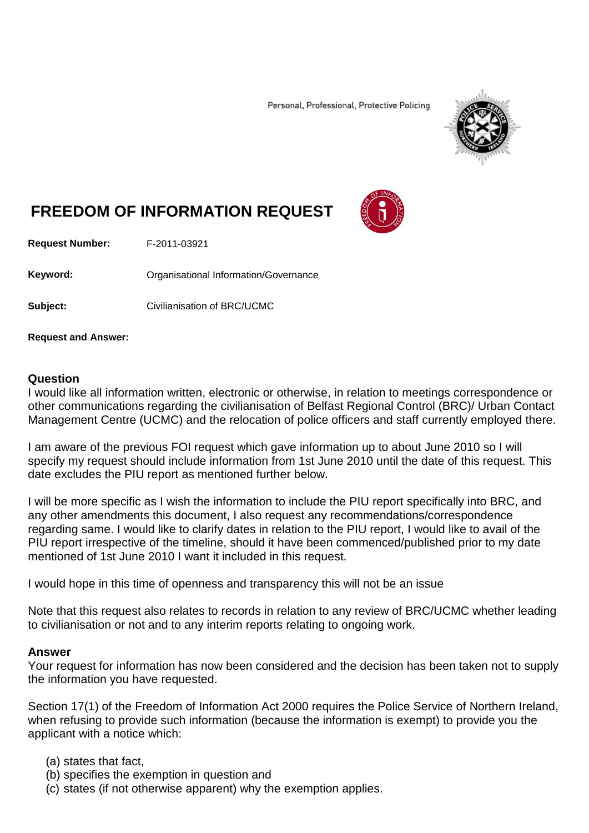Personal, Professional, Protective Policing



# **FREEDOM OF INFORMATION REQUEST**

**Request Number:** F-2011-03921

Keyword: **Communistry Communists** Organisational Information/Governance

**Subject:** Civilianisation of BRC/UCMC

**Request and Answer:**

#### **Question**

I would like all information written, electronic or otherwise, in relation to meetings correspondence or other communications regarding the civilianisation of Belfast Regional Control (BRC)/ Urban Contact Management Centre (UCMC) and the relocation of police officers and staff currently employed there.

I am aware of the previous FOI request which gave information up to about June 2010 so I will specify my request should include information from 1st June 2010 until the date of this request. This date excludes the PIU report as mentioned further below.

I will be more specific as I wish the information to include the PIU report specifically into BRC, and any other amendments this document, I also request any recommendations/correspondence regarding same. I would like to clarify dates in relation to the PIU report, I would like to avail of the PIU report irrespective of the timeline, should it have been commenced/published prior to my date mentioned of 1st June 2010 I want it included in this request.

I would hope in this time of openness and transparency this will not be an issue

Note that this request also relates to records in relation to any review of BRC/UCMC whether leading to civilianisation or not and to any interim reports relating to ongoing work.

#### **Answer**

Your request for information has now been considered and the decision has been taken not to supply the information you have requested.

Section 17(1) of the Freedom of Information Act 2000 requires the Police Service of Northern Ireland, when refusing to provide such information (because the information is exempt) to provide you the applicant with a notice which:

- (a) states that fact,
- (b) specifies the exemption in question and
- (c) states (if not otherwise apparent) why the exemption applies.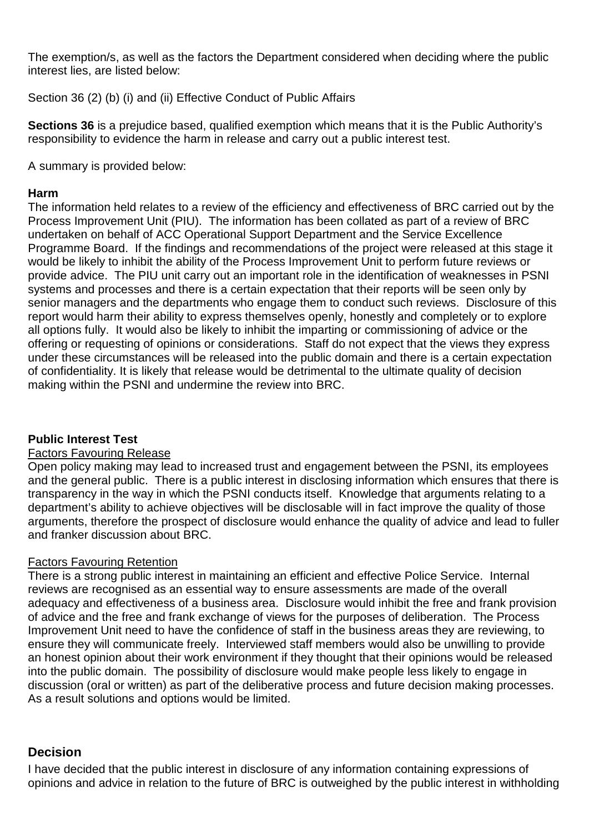The exemption/s, as well as the factors the Department considered when deciding where the public interest lies, are listed below:

Section 36 (2) (b) (i) and (ii) Effective Conduct of Public Affairs

**Sections 36** is a prejudice based, qualified exemption which means that it is the Public Authority's responsibility to evidence the harm in release and carry out a public interest test.

A summary is provided below:

#### **Harm**

The information held relates to a review of the efficiency and effectiveness of BRC carried out by the Process Improvement Unit (PIU). The information has been collated as part of a review of BRC undertaken on behalf of ACC Operational Support Department and the Service Excellence Programme Board. If the findings and recommendations of the project were released at this stage it would be likely to inhibit the ability of the Process Improvement Unit to perform future reviews or provide advice. The PIU unit carry out an important role in the identification of weaknesses in PSNI systems and processes and there is a certain expectation that their reports will be seen only by senior managers and the departments who engage them to conduct such reviews. Disclosure of this report would harm their ability to express themselves openly, honestly and completely or to explore all options fully. It would also be likely to inhibit the imparting or commissioning of advice or the offering or requesting of opinions or considerations. Staff do not expect that the views they express under these circumstances will be released into the public domain and there is a certain expectation of confidentiality. It is likely that release would be detrimental to the ultimate quality of decision making within the PSNI and undermine the review into BRC.

## **Public Interest Test**

#### Factors Favouring Release

Open policy making may lead to increased trust and engagement between the PSNI, its employees and the general public. There is a public interest in disclosing information which ensures that there is transparency in the way in which the PSNI conducts itself. Knowledge that arguments relating to a department's ability to achieve objectives will be disclosable will in fact improve the quality of those arguments, therefore the prospect of disclosure would enhance the quality of advice and lead to fuller and franker discussion about BRC.

## Factors Favouring Retention

There is a strong public interest in maintaining an efficient and effective Police Service. Internal reviews are recognised as an essential way to ensure assessments are made of the overall adequacy and effectiveness of a business area. Disclosure would inhibit the free and frank provision of advice and the free and frank exchange of views for the purposes of deliberation. The Process Improvement Unit need to have the confidence of staff in the business areas they are reviewing, to ensure they will communicate freely. Interviewed staff members would also be unwilling to provide an honest opinion about their work environment if they thought that their opinions would be released into the public domain. The possibility of disclosure would make people less likely to engage in discussion (oral or written) as part of the deliberative process and future decision making processes. As a result solutions and options would be limited.

## **Decision**

I have decided that the public interest in disclosure of any information containing expressions of opinions and advice in relation to the future of BRC is outweighed by the public interest in withholding